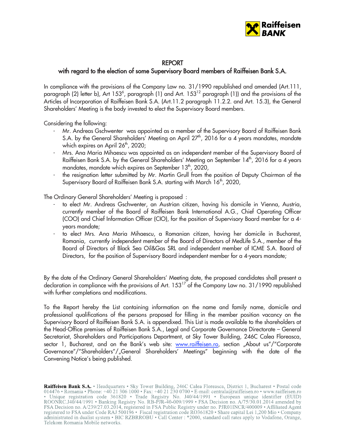

## REPORT

## with regard to the election of some Supervisory Board members of Raiffeisen Bank S.A.

In compliance with the provisions of the Company Law no. 31/1990 republished and amended (Art.111, paragraph (2) letter b), Art 153<sup>6</sup>, paragraph (1) and Art. 153<sup>12</sup> paragraph (1)) and the provisions of the Articles of Incorporation of Raiffeisen Bank S.A. (Art.11.2 paragraph 11.2.2. and Art. 15.3), the General Shareholders' Meeting is the body invested to elect the Supervisory Board members.

Considering the following:

- Mr. Andreas Gschwenter was appointed as a member of the Supervisory Board of Raiffeisen Bank S.A. by the General Shareholders' Meeting on April  $27<sup>th</sup>$ , 2016 for a 4 years mandates, mandate which expires on April 26<sup>th</sup>, 2020;
- Mrs. Ana Maria Mihaescu was appointed as an independent member of the Supervisory Board of Raiffeisen Bank S.A. by the General Shareholders' Meeting on September 14<sup>th</sup>, 2016 for a 4 years mandates, mandate which expires on September  $13<sup>th</sup>$ , 2020,
- the resignation letter submitted by Mr. Martin Grull from the position of Deputy Chairman of the Supervisory Board of Raiffeisen Bank S.A. starting with March 16<sup>th</sup>, 2020,

The Ordinary General Shareholders' Meeting is proposed :

- to elect Mr. Andreas Gschwenter, an Austrian citizen, having his domicile in Vienna, Austria, currently member of the Board of Raiffeisen Bank International A.G., Chief Operating Officer (COO) and Chief Information Officer (CIO), for the position of Supervisory Board member for a 4 years mandate;
- to elect Mrs. Ana Maria Mihaescu, a Romanian citizen, having her domicile in Bucharest, Romania, currently independent member of the Board of Directors of MedLife S.A., member of the Board of Directors of Black Sea Oil&Gas SRL and independent member of ICME S.A. Board of Directors, for the position of Supervisory Board independent member for a 4-years mandate;

By the date of the Ordinary General Shareholders' Meeting date, the proposed candidates shall present a declaration in compliance with the provisions of Art. 153<sup>17</sup> of the Company Law no. 31/1990 republished with further completions and modifications.

To the Report hereby the List containing information on the name and family name, domicile and professional qualifications of the persons proposed for filling in the member position vacancy on the Supervisory Board of Raiffeisen Bank S.A. is appendixed. This List is made available to the shareholders at the Head-Office premises of Raiffeisen Bank S.A., Legal and Corporate Governance Directorate – General Secretariat, Shareholders and Participations Department, at Sky Tower Building, 246C Calea Floreasca, sector 1, Bucharest, and on the Bank's web site: www.raiffeisen.ro, section "About us"/"Corporate Governance"/"Shareholders"/"General Shareholders' Meetings" beginning with the date of the Convening Notice's being published.

Raiffeisen Bank S.A. • Headquarters • Sky Tower Building, 246C Calea Floreasca, District 1, Bucharest • Postal code 014476 • Romania • Phone: +40 21 306 1000 • Fax: +40 21 230 0700 • E-mail: centrala@raiffeisen.ro • www.raiffeisen.ro • Unique registration code 361820 • Trade Registry No. J40/44/1991 • European unique identifier (EUID)<br>ROONRC.J40/44/1991 • Banking Registry No. RB-PJR-40-009/1999 • FSA Decision no. A/75/30.01.2014 amended by FSA Decision no. A/239/27.03.2014, registered in FSA Public Registry under no. PJR01INCR/400009 • Affiliated Agent registered to FSA under Code RAJ 500196 • Fiscal registration code RO361820 • Share capital Lei 1,200 Mio • Company administrated in dualist system • BIC RZBRROBU • Call Center : \*2000, standard call rates apply to Vodafone, Orange, Telekom Romania Mobile networks.